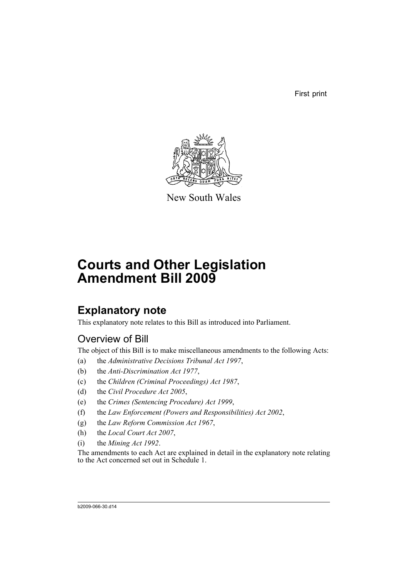First print



New South Wales

# **Courts and Other Legislation Amendment Bill 2009**

## **Explanatory note**

This explanatory note relates to this Bill as introduced into Parliament.

### Overview of Bill

The object of this Bill is to make miscellaneous amendments to the following Acts:

- (a) the *Administrative Decisions Tribunal Act 1997*,
- (b) the *Anti-Discrimination Act 1977*,
- (c) the *Children (Criminal Proceedings) Act 1987*,
- (d) the *Civil Procedure Act 2005*,
- (e) the *Crimes (Sentencing Procedure) Act 1999*,
- (f) the *Law Enforcement (Powers and Responsibilities) Act 2002*,
- (g) the *Law Reform Commission Act 1967*,
- (h) the *Local Court Act 2007*,
- (i) the *Mining Act 1992*.

The amendments to each Act are explained in detail in the explanatory note relating to the Act concerned set out in Schedule 1.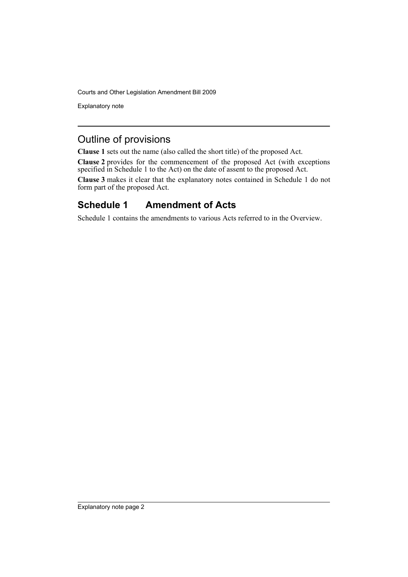Explanatory note

### Outline of provisions

**Clause 1** sets out the name (also called the short title) of the proposed Act.

**Clause 2** provides for the commencement of the proposed Act (with exceptions specified in Schedule 1 to the Act) on the date of assent to the proposed Act.

**Clause 3** makes it clear that the explanatory notes contained in Schedule 1 do not form part of the proposed Act.

### **Schedule 1 Amendment of Acts**

Schedule 1 contains the amendments to various Acts referred to in the Overview.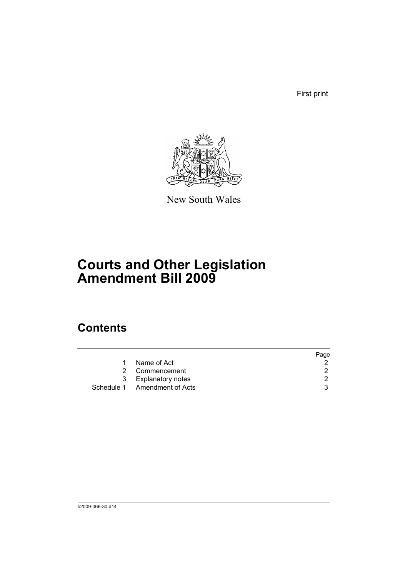First print



New South Wales

# **Courts and Other Legislation Amendment Bill 2009**

## **Contents**

|   |                              | Page |
|---|------------------------------|------|
|   | Name of Act                  |      |
|   | 2 Commencement               | 2    |
| 3 | <b>Explanatory notes</b>     |      |
|   | Schedule 1 Amendment of Acts | વ    |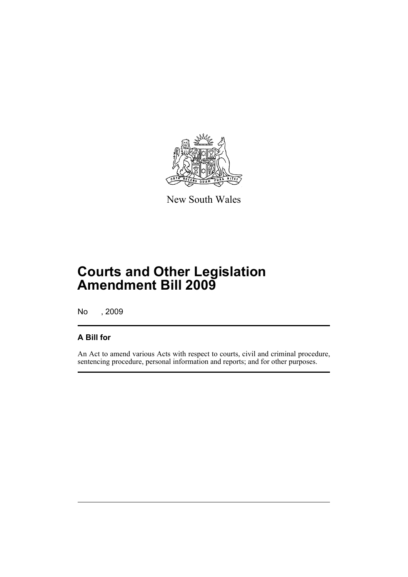

New South Wales

## **Courts and Other Legislation Amendment Bill 2009**

No , 2009

### **A Bill for**

An Act to amend various Acts with respect to courts, civil and criminal procedure, sentencing procedure, personal information and reports; and for other purposes.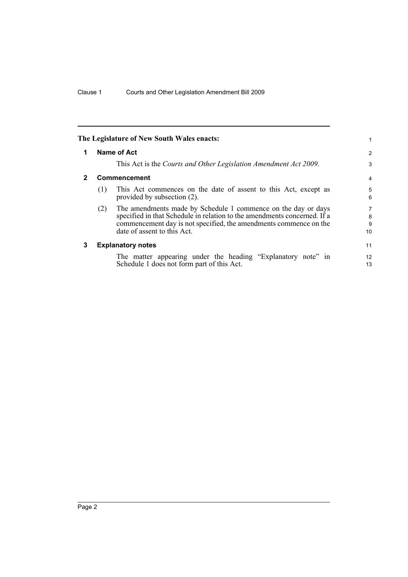<span id="page-5-2"></span><span id="page-5-1"></span><span id="page-5-0"></span>

| The Legislature of New South Wales enacts: |                          |                                                                                                                                                                                                                                               |                   |
|--------------------------------------------|--------------------------|-----------------------------------------------------------------------------------------------------------------------------------------------------------------------------------------------------------------------------------------------|-------------------|
| 1                                          | Name of Act              |                                                                                                                                                                                                                                               |                   |
|                                            |                          | This Act is the Courts and Other Legislation Amendment Act 2009.                                                                                                                                                                              | 3                 |
| $\mathbf{2}$                               | Commencement             |                                                                                                                                                                                                                                               |                   |
|                                            | (1)                      | This Act commences on the date of assent to this Act, except as<br>provided by subsection (2).                                                                                                                                                | 5<br>6            |
|                                            | (2)                      | The amendments made by Schedule 1 commence on the day or days<br>specified in that Schedule in relation to the amendments concerned. If a<br>commencement day is not specified, the amendments commence on the<br>date of assent to this Act. | 7<br>8<br>9<br>10 |
| 3                                          | <b>Explanatory notes</b> |                                                                                                                                                                                                                                               | 11                |
|                                            |                          | The matter appearing under the heading "Explanatory note" in<br>Schedule 1 does not form part of this Act.                                                                                                                                    | 12<br>13          |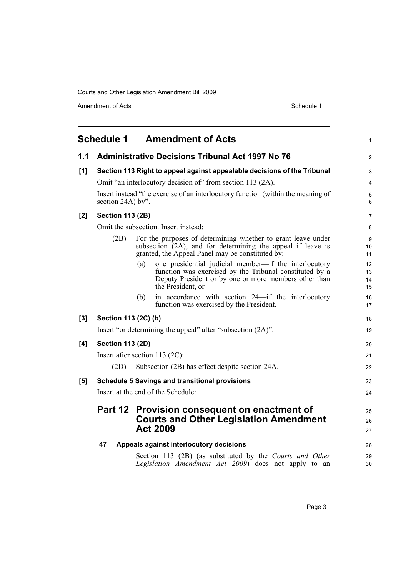Amendment of Acts Schedule 1

<span id="page-6-0"></span>

|       | <b>Schedule 1</b>                                           | <b>Amendment of Acts</b>                                                                                                                                                                              | $\mathbf{1}$         |  |
|-------|-------------------------------------------------------------|-------------------------------------------------------------------------------------------------------------------------------------------------------------------------------------------------------|----------------------|--|
| 1.1   |                                                             | <b>Administrative Decisions Tribunal Act 1997 No 76</b>                                                                                                                                               | $\overline{2}$       |  |
| [1]   |                                                             | Section 113 Right to appeal against appealable decisions of the Tribunal                                                                                                                              | 3                    |  |
|       |                                                             | Omit "an interlocutory decision of" from section 113 (2A).                                                                                                                                            | 4                    |  |
|       |                                                             | Insert instead "the exercise of an interlocutory function (within the meaning of<br>section $24A$ ) by".                                                                                              |                      |  |
| [2]   | <b>Section 113 (2B)</b>                                     |                                                                                                                                                                                                       | 7                    |  |
|       |                                                             | Omit the subsection. Insert instead:                                                                                                                                                                  | 8                    |  |
|       | (2B)                                                        | For the purposes of determining whether to grant leave under<br>subsection $(2A)$ , and for determining the appeal if leave is<br>granted, the Appeal Panel may be constituted by:                    | 9<br>10<br>11        |  |
|       |                                                             | one presidential judicial member—if the interlocutory<br>(a)<br>function was exercised by the Tribunal constituted by a<br>Deputy President or by one or more members other than<br>the President, or | 12<br>13<br>14<br>15 |  |
|       |                                                             | in accordance with section 24—if the interlocutory<br>(b)<br>function was exercised by the President.                                                                                                 | 16<br>17             |  |
| $[3]$ | Section 113 (2C) (b)                                        |                                                                                                                                                                                                       | 18                   |  |
|       | Insert "or determining the appeal" after "subsection (2A)". |                                                                                                                                                                                                       |                      |  |
| [4]   | <b>Section 113 (2D)</b>                                     |                                                                                                                                                                                                       | 20                   |  |
|       | Insert after section 113 (2C):                              |                                                                                                                                                                                                       | 21                   |  |
|       | (2D)                                                        | Subsection (2B) has effect despite section 24A.                                                                                                                                                       | 22                   |  |
| [5]   |                                                             | <b>Schedule 5 Savings and transitional provisions</b>                                                                                                                                                 | 23                   |  |
|       | Insert at the end of the Schedule:                          |                                                                                                                                                                                                       |                      |  |
|       | Part 12                                                     | Provision consequent on enactment of<br><b>Courts and Other Legislation Amendment</b><br><b>Act 2009</b>                                                                                              | 25<br>26<br>27       |  |
|       | 47                                                          | Appeals against interlocutory decisions                                                                                                                                                               | 28                   |  |
|       |                                                             | Section 113 (2B) (as substituted by the Courts and Other<br>Legislation Amendment Act 2009) does not apply to an                                                                                      | 29<br>30             |  |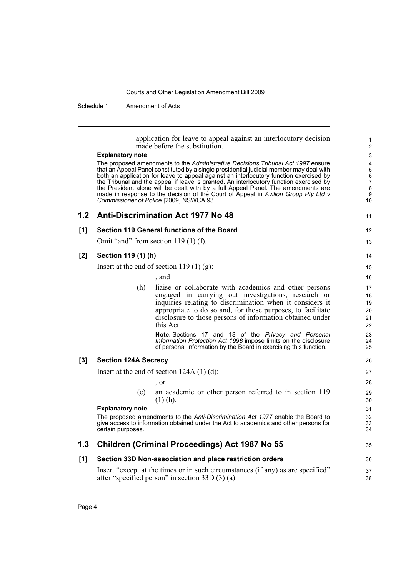Schedule 1 Amendment of Acts

application for leave to appeal against an interlocutory decision made before the substitution. **Explanatory note** The proposed amendments to the *Administrative Decisions Tribunal Act 1997* ensure that an Appeal Panel constituted by a single presidential judicial member may deal with both an application for leave to appeal against an interlocutory function exercised by the Tribunal and the appeal if leave is granted. An interlocutory function exercised by the President alone will be dealt with by a full Appeal Panel. The amendments are made in response to the decision of the Court of Appeal in *Avilion Group Pty Ltd v Commissioner of Police* [2009] NSWCA 93. **1.2 Anti-Discrimination Act 1977 No 48 [1] Section 119 General functions of the Board** Omit "and" from section 119 (1) (f). **[2] Section 119 (1) (h)** Insert at the end of section 119 $(1)$  $(g)$ : , and (h) liaise or collaborate with academics and other persons engaged in carrying out investigations, research or inquiries relating to discrimination when it considers it appropriate to do so and, for those purposes, to facilitate disclosure to those persons of information obtained under this Act. **Note.** Sections 17 and 18 of the *Privacy and Personal Information Protection Act 1998* impose limits on the disclosure of personal information by the Board in exercising this function. **[3] Section 124A Secrecy** Insert at the end of section 124A (1) (d): , or (e) an academic or other person referred to in section 119 (1) (h). **Explanatory note** The proposed amendments to the *Anti-Discrimination Act 1977* enable the Board to give access to information obtained under the Act to academics and other persons for certain purposes. **1.3 Children (Criminal Proceedings) Act 1987 No 55 [1] Section 33D Non-association and place restriction orders** Insert "except at the times or in such circumstances (if any) as are specified" after "specified person" in section 33D (3) (a). 1 2 3 4 5 6 7 8 **9** 10 11 12 13 14 15 16 17 18 19 20 21 22 23 24 25 26 27 28 29 30 31 32 33 34 35 36 37 38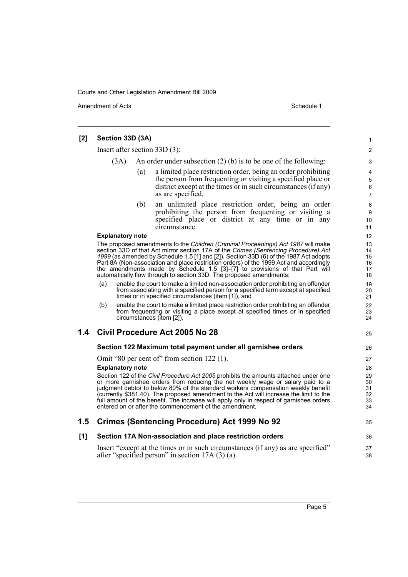Amendment of Acts Schedule 1

| [2] | Section 33D (3A)                                                                                                                                                                                                                                                                                                                                                                                                                                                                                                  |     |                                                                                                                                                                                                                                                                                                                                                                                                                                                                                                | 1                                      |
|-----|-------------------------------------------------------------------------------------------------------------------------------------------------------------------------------------------------------------------------------------------------------------------------------------------------------------------------------------------------------------------------------------------------------------------------------------------------------------------------------------------------------------------|-----|------------------------------------------------------------------------------------------------------------------------------------------------------------------------------------------------------------------------------------------------------------------------------------------------------------------------------------------------------------------------------------------------------------------------------------------------------------------------------------------------|----------------------------------------|
|     | Insert after section $33D(3)$ :                                                                                                                                                                                                                                                                                                                                                                                                                                                                                   |     |                                                                                                                                                                                                                                                                                                                                                                                                                                                                                                |                                        |
|     | (3A)                                                                                                                                                                                                                                                                                                                                                                                                                                                                                                              |     | An order under subsection $(2)$ (b) is to be one of the following:                                                                                                                                                                                                                                                                                                                                                                                                                             | 3                                      |
|     |                                                                                                                                                                                                                                                                                                                                                                                                                                                                                                                   | (a) | a limited place restriction order, being an order prohibiting<br>the person from frequenting or visiting a specified place or<br>district except at the times or in such circumstances (if any)<br>as are specified,                                                                                                                                                                                                                                                                           | 4<br>5<br>6<br>$\overline{7}$          |
|     |                                                                                                                                                                                                                                                                                                                                                                                                                                                                                                                   | (b) | an unlimited place restriction order, being an order<br>prohibiting the person from frequenting or visiting a<br>specified place or district at any time or in any<br>circumstance.                                                                                                                                                                                                                                                                                                            | 8<br>9<br>10<br>11                     |
|     | <b>Explanatory note</b>                                                                                                                                                                                                                                                                                                                                                                                                                                                                                           |     |                                                                                                                                                                                                                                                                                                                                                                                                                                                                                                | 12                                     |
|     | The proposed amendments to the Children (Criminal Proceedings) Act 1987 will make<br>section 33D of that Act mirror section 17A of the Crimes (Sentencing Procedure) Act<br>1999 (as amended by Schedule 1.5 [1] and [2]). Section 33D (6) of the 1987 Act adopts<br>Part 8A (Non-association and place restriction orders) of the 1999 Act and accordingly<br>the amendments made by Schedule 1.5 [3]-[7] to provisions of that Part will<br>automatically flow through to section 33D. The proposed amendments: |     |                                                                                                                                                                                                                                                                                                                                                                                                                                                                                                |                                        |
|     | (a)                                                                                                                                                                                                                                                                                                                                                                                                                                                                                                               |     | enable the court to make a limited non-association order prohibiting an offender<br>from associating with a specified person for a specified term except at specified<br>times or in specified circumstances (item [1]), and                                                                                                                                                                                                                                                                   | 19<br>20<br>21                         |
|     | (b)                                                                                                                                                                                                                                                                                                                                                                                                                                                                                                               |     | enable the court to make a limited place restriction order prohibiting an offender<br>from frequenting or visiting a place except at specified times or in specified<br>circumstances (item [2]).                                                                                                                                                                                                                                                                                              | 22<br>23<br>24                         |
| 1.4 |                                                                                                                                                                                                                                                                                                                                                                                                                                                                                                                   |     | Civil Procedure Act 2005 No 28                                                                                                                                                                                                                                                                                                                                                                                                                                                                 | 25                                     |
|     |                                                                                                                                                                                                                                                                                                                                                                                                                                                                                                                   |     | Section 122 Maximum total payment under all garnishee orders                                                                                                                                                                                                                                                                                                                                                                                                                                   | 26                                     |
|     | <b>Explanatory note</b>                                                                                                                                                                                                                                                                                                                                                                                                                                                                                           |     | Omit "80 per cent of" from section 122 (1).<br>Section 122 of the Civil Procedure Act 2005 prohibits the amounts attached under one<br>or more garnishee orders from reducing the net weekly wage or salary paid to a<br>judgment debtor to below 80% of the standard workers compensation weekly benefit<br>(currently \$381.40). The proposed amendment to the Act will increase the limit to the<br>full amount of the benefit. The increase will apply only in respect of garnishee orders | 27<br>28<br>29<br>30<br>31<br>32<br>33 |
|     |                                                                                                                                                                                                                                                                                                                                                                                                                                                                                                                   |     | entered on or after the commencement of the amendment.                                                                                                                                                                                                                                                                                                                                                                                                                                         | 34                                     |
| 1.5 |                                                                                                                                                                                                                                                                                                                                                                                                                                                                                                                   |     | <b>Crimes (Sentencing Procedure) Act 1999 No 92</b>                                                                                                                                                                                                                                                                                                                                                                                                                                            | 35                                     |
| [1] |                                                                                                                                                                                                                                                                                                                                                                                                                                                                                                                   |     | Section 17A Non-association and place restriction orders                                                                                                                                                                                                                                                                                                                                                                                                                                       | 36                                     |
|     |                                                                                                                                                                                                                                                                                                                                                                                                                                                                                                                   |     | Insert "except at the times or in such circumstances (if any) as are specified"<br>after "specified person" in section $17A(3)(a)$ .                                                                                                                                                                                                                                                                                                                                                           | 37<br>38                               |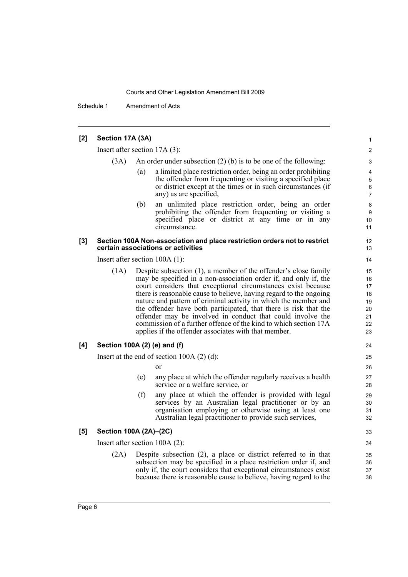Schedule 1 Amendment of Acts

#### **[2] Section 17A (3A)**

Insert after section 17A (3):

- (3A) An order under subsection (2) (b) is to be one of the following:
	- (a) a limited place restriction order, being an order prohibiting the offender from frequenting or visiting a specified place or district except at the times or in such circumstances (if any) as are specified,

(b) an unlimited place restriction order, being an order prohibiting the offender from frequenting or visiting a specified place or district at any time or in any circumstance.

#### **[3] Section 100A Non-association and place restriction orders not to restrict certain associations or activities**

Insert after section 100A (1):

(1A) Despite subsection (1), a member of the offender's close family may be specified in a non-association order if, and only if, the court considers that exceptional circumstances exist because there is reasonable cause to believe, having regard to the ongoing nature and pattern of criminal activity in which the member and the offender have both participated, that there is risk that the offender may be involved in conduct that could involve the commission of a further offence of the kind to which section 17A applies if the offender associates with that member.

#### **[4] Section 100A (2) (e) and (f)**

Insert at the end of section 100A (2) (d):

or

- (e) any place at which the offender regularly receives a health service or a welfare service, or
- (f) any place at which the offender is provided with legal services by an Australian legal practitioner or by an organisation employing or otherwise using at least one Australian legal practitioner to provide such services,

#### **[5] Section 100A (2A)–(2C)**

Insert after section 100A (2):

(2A) Despite subsection (2), a place or district referred to in that subsection may be specified in a place restriction order if, and only if, the court considers that exceptional circumstances exist because there is reasonable cause to believe, having regard to the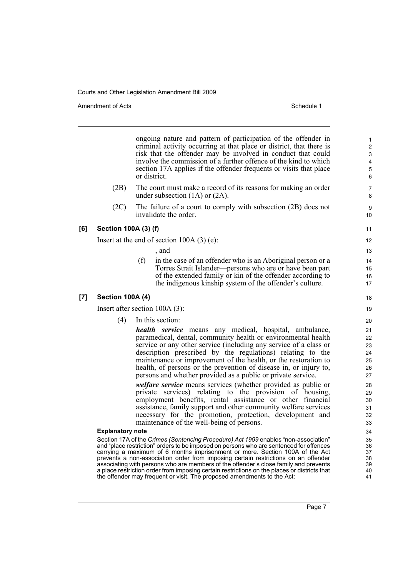Amendment of Acts **Amendment of Acts** Schedule 1

ongoing nature and pattern of participation of the offender in criminal activity occurring at that place or district, that there is risk that the offender may be involved in conduct that could involve the commission of a further offence of the kind to which section 17A applies if the offender frequents or visits that place or district.

- (2B) The court must make a record of its reasons for making an order under subsection (1A) or (2A).
- (2C) The failure of a court to comply with subsection (2B) does not invalidate the order.

#### **[6] Section 100A (3) (f)**

Insert at the end of section 100A (3) (e):

, and

(f) in the case of an offender who is an Aboriginal person or a Torres Strait Islander—persons who are or have been part of the extended family or kin of the offender according to the indigenous kinship system of the offender's culture.

#### **[7] Section 100A (4)**

Insert after section 100A (3):

(4) In this section:

*health service* means any medical, hospital, ambulance, paramedical, dental, community health or environmental health service or any other service (including any service of a class or description prescribed by the regulations) relating to the maintenance or improvement of the health, or the restoration to health, of persons or the prevention of disease in, or injury to, persons and whether provided as a public or private service.

*welfare service* means services (whether provided as public or private services) relating to the provision of housing, employment benefits, rental assistance or other financial assistance, family support and other community welfare services necessary for the promotion, protection, development and maintenance of the well-being of persons.

#### **Explanatory note**

Section 17A of the *Crimes (Sentencing Procedure) Act 1999* enables "non-association" and "place restriction" orders to be imposed on persons who are sentenced for offences carrying a maximum of 6 months imprisonment or more. Section 100A of the Act prevents a non-association order from imposing certain restrictions on an offender associating with persons who are members of the offender's close family and prevents a place restriction order from imposing certain restrictions on the places or districts that the offender may frequent or visit. The proposed amendments to the Act:

Page 7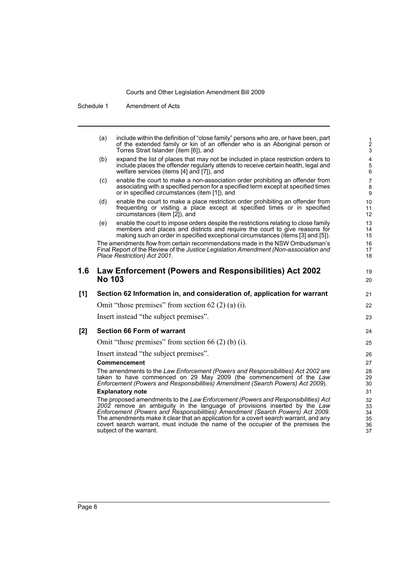Schedule 1 Amendment of Acts

|     | (a)           | include within the definition of "close family" persons who are, or have been, part<br>of the extended family or kin of an offender who is an Aboriginal person or<br>Torres Strait Islander (item [6]), and                                                                                                                                                                                                                                            | $\frac{1}{2}$<br>$\mathbf{3}$                        |
|-----|---------------|---------------------------------------------------------------------------------------------------------------------------------------------------------------------------------------------------------------------------------------------------------------------------------------------------------------------------------------------------------------------------------------------------------------------------------------------------------|------------------------------------------------------|
|     | (b)           | expand the list of places that may not be included in place restriction orders to<br>include places the offender regularly attends to receive certain health, legal and<br>welfare services (items [4] and [7]), and                                                                                                                                                                                                                                    | $\overline{\mathbf{4}}$<br>$\overline{5}$<br>$\,6\,$ |
|     | (c)           | enable the court to make a non-association order prohibiting an offender from<br>associating with a specified person for a specified term except at specified times<br>or in specified circumstances (item [1]), and                                                                                                                                                                                                                                    | $\overline{7}$<br>8<br>$\boldsymbol{9}$              |
|     | (d)           | enable the court to make a place restriction order prohibiting an offender from<br>frequenting or visiting a place except at specified times or in specified<br>circumstances (item [2]), and                                                                                                                                                                                                                                                           | 10<br>11<br>12                                       |
|     | (e)           | enable the court to impose orders despite the restrictions relating to close family<br>members and places and districts and require the court to give reasons for<br>making such an order in specified exceptional circumstances (items [3] and [5]).                                                                                                                                                                                                   | 13<br>14<br>15                                       |
|     |               | The amendments flow from certain recommendations made in the NSW Ombudsman's<br>Final Report of the Review of the Justice Legislation Amendment (Non-association and<br>Place Restriction) Act 2001.                                                                                                                                                                                                                                                    | 16<br>17<br>18                                       |
| 1.6 | <b>No 103</b> | Law Enforcement (Powers and Responsibilities) Act 2002                                                                                                                                                                                                                                                                                                                                                                                                  | 19<br>20                                             |
| [1] |               | Section 62 Information in, and consideration of, application for warrant                                                                                                                                                                                                                                                                                                                                                                                | 21                                                   |
|     |               | Omit "those premises" from section $62(2)(a)(i)$ .                                                                                                                                                                                                                                                                                                                                                                                                      | 22                                                   |
|     |               | Insert instead "the subject premises".                                                                                                                                                                                                                                                                                                                                                                                                                  | 23                                                   |
| [2] |               | <b>Section 66 Form of warrant</b>                                                                                                                                                                                                                                                                                                                                                                                                                       | 24                                                   |
|     |               | Omit "those premises" from section 66 $(2)$ (b) (i).                                                                                                                                                                                                                                                                                                                                                                                                    | 25                                                   |
|     |               | Insert instead "the subject premises".                                                                                                                                                                                                                                                                                                                                                                                                                  | 26                                                   |
|     |               | Commencement                                                                                                                                                                                                                                                                                                                                                                                                                                            | 27                                                   |
|     |               | The amendments to the Law Enforcement (Powers and Responsibilities) Act 2002 are<br>taken to have commenced on 29 May 2009 (the commencement of the Law<br>Enforcement (Powers and Responsibilities) Amendment (Search Powers) Act 2009).                                                                                                                                                                                                               | 28<br>29<br>30                                       |
|     |               | <b>Explanatory note</b>                                                                                                                                                                                                                                                                                                                                                                                                                                 | 31                                                   |
|     |               | The proposed amendments to the Law Enforcement (Powers and Responsibilities) Act<br>2002 remove an ambiguity in the language of provisions inserted by the Law<br>Enforcement (Powers and Responsibilities) Amendment (Search Powers) Act 2009.<br>The amendments make it clear that an application for a covert search warrant, and any<br>covert search warrant, must include the name of the occupier of the premises the<br>subject of the warrant. | 32<br>33<br>34<br>35<br>36<br>37                     |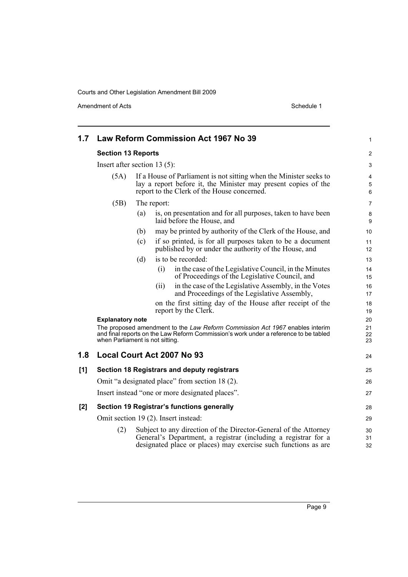Amendment of Acts Schedule 1

| 1.7                             |                                                                                                                                                                                                         |             | Law Reform Commission Act 1967 No 39                                                                                                                                                                 | 1                     |
|---------------------------------|---------------------------------------------------------------------------------------------------------------------------------------------------------------------------------------------------------|-------------|------------------------------------------------------------------------------------------------------------------------------------------------------------------------------------------------------|-----------------------|
|                                 | <b>Section 13 Reports</b>                                                                                                                                                                               |             |                                                                                                                                                                                                      |                       |
| Insert after section 13 $(5)$ : |                                                                                                                                                                                                         |             |                                                                                                                                                                                                      | 3                     |
| (5A)                            |                                                                                                                                                                                                         |             | If a House of Parliament is not sitting when the Minister seeks to<br>lay a report before it, the Minister may present copies of the<br>report to the Clerk of the House concerned.                  | 4<br>$\mathbf 5$<br>6 |
|                                 | (5B)                                                                                                                                                                                                    | The report: |                                                                                                                                                                                                      |                       |
|                                 |                                                                                                                                                                                                         | (a)         | is, on presentation and for all purposes, taken to have been<br>laid before the House, and                                                                                                           | 8<br>9                |
|                                 |                                                                                                                                                                                                         | (b)         | may be printed by authority of the Clerk of the House, and                                                                                                                                           | 10                    |
|                                 |                                                                                                                                                                                                         | (c)         | if so printed, is for all purposes taken to be a document<br>published by or under the authority of the House, and                                                                                   | 11<br>12              |
|                                 |                                                                                                                                                                                                         | (d)         | is to be recorded:                                                                                                                                                                                   | 13                    |
|                                 |                                                                                                                                                                                                         |             | in the case of the Legislative Council, in the Minutes<br>(i)<br>of Proceedings of the Legislative Council, and                                                                                      | 14<br>15              |
|                                 |                                                                                                                                                                                                         |             | in the case of the Legislative Assembly, in the Votes<br>(ii)<br>and Proceedings of the Legislative Assembly,                                                                                        | 16<br>17              |
|                                 |                                                                                                                                                                                                         |             | on the first sitting day of the House after receipt of the<br>report by the Clerk.                                                                                                                   | 18<br>19              |
|                                 | <b>Explanatory note</b>                                                                                                                                                                                 |             |                                                                                                                                                                                                      | 20                    |
|                                 | The proposed amendment to the Law Reform Commission Act 1967 enables interim<br>and final reports on the Law Reform Commission's work under a reference to be tabled<br>when Parliament is not sitting. |             |                                                                                                                                                                                                      | 21<br>22<br>23        |
| 1.8                             |                                                                                                                                                                                                         |             | Local Court Act 2007 No 93                                                                                                                                                                           | 24                    |
| [1]                             |                                                                                                                                                                                                         |             | Section 18 Registrars and deputy registrars                                                                                                                                                          | 25                    |
|                                 |                                                                                                                                                                                                         |             | Omit "a designated place" from section 18 (2).                                                                                                                                                       | 26                    |
|                                 |                                                                                                                                                                                                         |             | Insert instead "one or more designated places".                                                                                                                                                      | 27                    |
| [2]                             |                                                                                                                                                                                                         |             | Section 19 Registrar's functions generally                                                                                                                                                           | 28                    |
|                                 | Omit section 19 (2). Insert instead:                                                                                                                                                                    |             | 29                                                                                                                                                                                                   |                       |
|                                 | (2)                                                                                                                                                                                                     |             | Subject to any direction of the Director-General of the Attorney<br>General's Department, a registrar (including a registrar for a<br>designated place or places) may exercise such functions as are | 30<br>31<br>32        |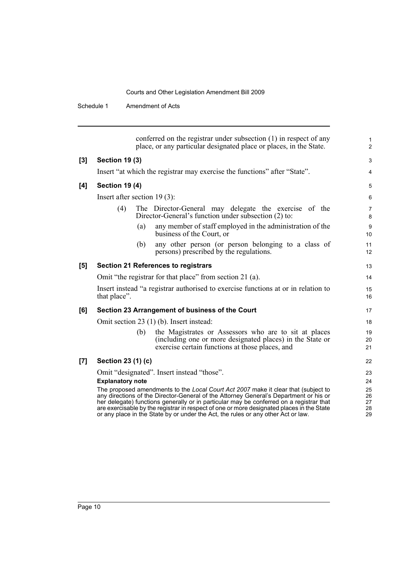Schedule 1 Amendment of Acts

|       | conferred on the registrar under subsection (1) in respect of any<br>place, or any particular designated place or places, in the State.                                                                                                                                                                                                                                                                                                                  | $\mathbf{1}$<br>2          |
|-------|----------------------------------------------------------------------------------------------------------------------------------------------------------------------------------------------------------------------------------------------------------------------------------------------------------------------------------------------------------------------------------------------------------------------------------------------------------|----------------------------|
| $[3]$ | <b>Section 19 (3)</b>                                                                                                                                                                                                                                                                                                                                                                                                                                    | 3                          |
|       | Insert "at which the registrar may exercise the functions" after "State".                                                                                                                                                                                                                                                                                                                                                                                | $\overline{4}$             |
| [4]   | <b>Section 19 (4)</b>                                                                                                                                                                                                                                                                                                                                                                                                                                    | 5                          |
|       | Insert after section $19(3)$ :                                                                                                                                                                                                                                                                                                                                                                                                                           | 6                          |
|       | (4)<br>The Director-General may delegate the exercise of the<br>Director-General's function under subsection (2) to:                                                                                                                                                                                                                                                                                                                                     | $\overline{7}$<br>8        |
|       | any member of staff employed in the administration of the<br>(a)<br>business of the Court, or                                                                                                                                                                                                                                                                                                                                                            | 9<br>10                    |
|       | any other person (or person belonging to a class of<br>(b)<br>persons) prescribed by the regulations.                                                                                                                                                                                                                                                                                                                                                    | 11<br>12                   |
| [5]   | Section 21 References to registrars                                                                                                                                                                                                                                                                                                                                                                                                                      | 13                         |
|       | Omit "the registrar for that place" from section 21 (a).                                                                                                                                                                                                                                                                                                                                                                                                 | 14                         |
|       | Insert instead "a registrar authorised to exercise functions at or in relation to<br>that place".                                                                                                                                                                                                                                                                                                                                                        | 15<br>16                   |
| [6]   | Section 23 Arrangement of business of the Court                                                                                                                                                                                                                                                                                                                                                                                                          | 17                         |
|       | Omit section 23 (1) (b). Insert instead:                                                                                                                                                                                                                                                                                                                                                                                                                 | 18                         |
|       | the Magistrates or Assessors who are to sit at places<br>(b)<br>(including one or more designated places) in the State or<br>exercise certain functions at those places, and                                                                                                                                                                                                                                                                             | 19<br>20<br>21             |
| [7]   | Section 23 (1) (c)                                                                                                                                                                                                                                                                                                                                                                                                                                       | 22                         |
|       | Omit "designated". Insert instead "those".                                                                                                                                                                                                                                                                                                                                                                                                               | 23                         |
|       | <b>Explanatory note</b>                                                                                                                                                                                                                                                                                                                                                                                                                                  | 24                         |
|       | The proposed amendments to the Local Court Act 2007 make it clear that (subject to<br>any directions of the Director-General of the Attorney General's Department or his or<br>her delegate) functions generally or in particular may be conferred on a registrar that<br>are exercisable by the registrar in respect of one or more designated places in the State<br>or any place in the State by or under the Act, the rules or any other Act or law. | 25<br>26<br>27<br>28<br>29 |